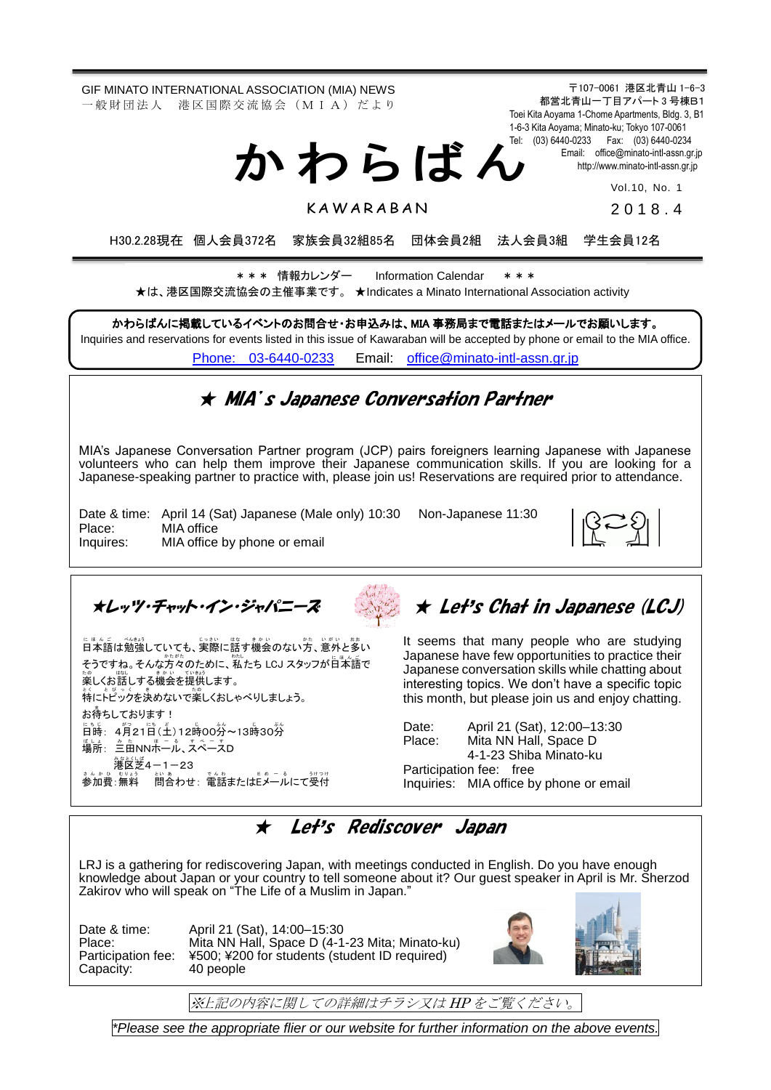GIF MINATO INTERNATIONAL ASSOCIATION (MIA) NEWS 一 般 財 団 法 人 港 区 国 際 交 流 協 会 (M I A) だ よ り

か わ ら ば ん

〒107-0061 港区北青山 1-6-3 都営北青山一丁目アパート 3 号棟B1 Toei Kita Aoyama 1-Chome Apartments, Bldg. 3, B1 1-6-3 Kita Aoyama; Minato-ku; Tokyo 107-0061 Tel: (03) 6440-0233 Fax: (03) 6440-0234 Email: [office@minato-intl-assn.gr.jp](mailto:office@minato-intl-assn.gr.jp) [http://www.minato-intl-assn.gr.jp](http://www.minato-intl-assn.gr.jp/)

Vol.10, No. 1

**KAWARABAN** 

201 8 . 4

H30.2.28現在 個人会員372名 家族会員32組85名 団体会員2組 法人会員3組 学生会員12名

\* \* \* 情報カレンダー Information Calendar \* \* \* ★は、港区国際交流協会の主催事業です。 ★Indicates a Minato International Association activity

かわらばんに掲載しているイベントのお問合せ・お申込みは、MIA 事務局まで電話またはメールでお願いします。 Inquiries and reservations for events listed in this issue of Kawaraban will be accepted by phone or email to the MIA office. [Phone: 03-6440-0233](mailto:Phone:%20%2003-6440-0233) Email: [office@minato-intl-assn.gr.jp](mailto:office@minato-intl-assn.gr.jp)

### ★ MIA's Japanese Conversation Partner

MIA's Japanese Conversation Partner program (JCP) pairs foreigners learning Japanese with Japanese volunteers who can help them improve their Japanese communication skills. If you are looking for a Japanese-speaking partner to practice with, please join us! Reservations are required prior to attendance.

Date & time: April 14 (Sat) Japanese (Male only) 10:30 Non-Japanese 11:30 Place: MIA office Inquires: MIA office by phone or email

★レッツ・チャット・イン・ジャパニーズ

にほんご べない<br>日本語は勉強していても、実際に話す機会のない方、意外と多い <sub>そうですね。そんな方々のために、私たち LCJ スタッフが日本語で</sub> た。<br>楽しくお話しする機会を提供します。 。、<br>特にトピックを決めないで楽しくおしゃべりしましょう。 **お待ちしております!** 旨時: 4月21日(土)12時00券~13時30券 場所: 三亩NN赤一ル、スペースD 。。<br>港区芝4-1-23 きんかぁ。いい。<br>参加費:無料 問合わせ:電話またはEメールにて受付

# ★ Let's Chat in Japanese (LCJ)

It seems that many people who are studying Japanese have few opportunities to practice their Japanese conversation skills while chatting about interesting topics. We don't have a specific topic this month, but please join us and enjoy chatting.

Date: April 21 (Sat), 12:00–13:30 Place: Mita NN Hall, Space D 4-1-23 Shiba Minato-ku Participation fee: free Inquiries: MIA office by phone or email

### ★ Let's Rediscover Japan

LRJ is a gathering for rediscovering Japan, with meetings conducted in English. Do you have enough knowledge about Japan or your country to tell someone about it? Our guest speaker in April is Mr. Sherzod Zakirov who will speak on "The Life of a Muslim in Japan." ering Jap<br>ir countrv

Capacity: 40 people

 $\overline{a}$ 

Date & time: April 21 (Sat), 14:00–15:30 Place: Mita NN Hall, Space D (4-1-23 Mita; Minato-ku) Participation fee: ¥500; ¥200 for students (student ID required)



※上記の内容に関しての詳細はチラシ又は HP をご覧ください。

*\*Please see the appropriate flier or our website for further information on the above events.*